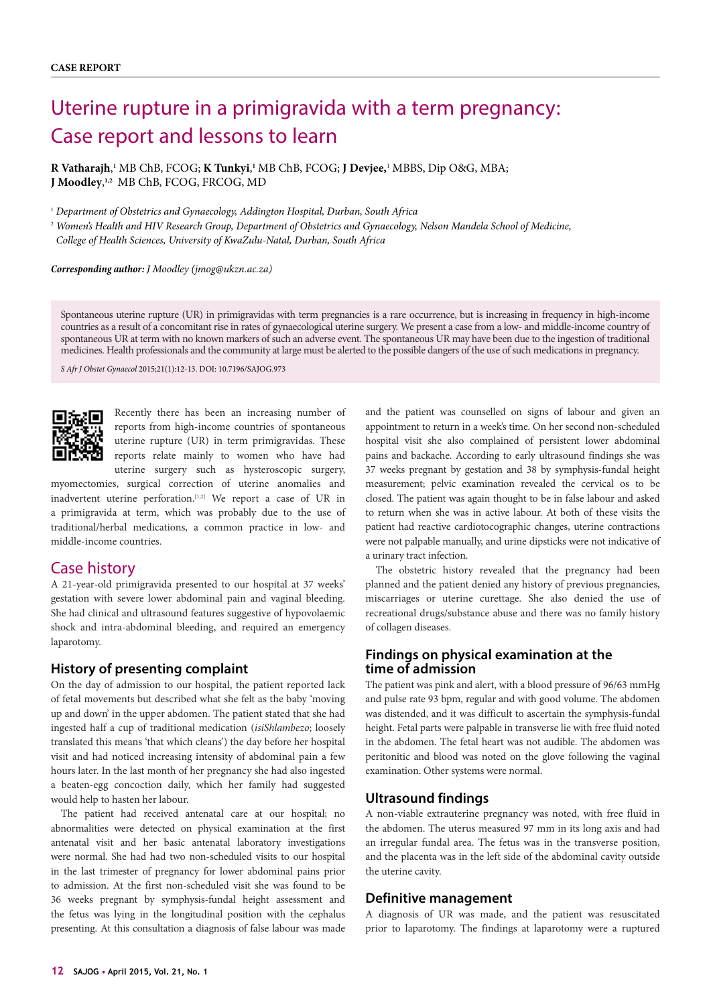# Uterine rupture in a primigravida with a term pregnancy: Case report and lessons to learn

**R Vatharajh**, **<sup>1</sup>** MB ChB, FCOG; **K Tunkyi**, **<sup>1</sup>** MB ChB, FCOG; **J Devjee,**<sup>1</sup> MBBS, Dip O&G, MBA; **J Moodley**, **1,2** MB ChB, FCOG, FRCOG, MD

<sup>1</sup> *Department of Obstetrics and Gynaecology, Addington Hospital, Durban, South Africa*

<sup>2</sup> *Women's Health and HIV Research Group, Department of Obstetrics and Gynaecology, Nelson Mandela School of Medicine, College of Health Sciences, University of KwaZulu-Natal, Durban, South Africa* 

*Corresponding author: J Moodley (jmog@ukzn.ac.za)*

Spontaneous uterine rupture (UR) in primigravidas with term pregnancies is a rare occurrence, but is increasing in frequency in high-income countries as a result of a concomitant rise in rates of gynaecological uterine surgery. We present a case from a low- and middle-income country of spontaneous UR at term with no known markers of such an adverse event. The spontaneous UR may have been due to the ingestion of traditional medicines. Health professionals and the community at large must be alerted to the possible dangers of the use of such medications in pregnancy.

*S Afr J Obstet Gynaecol* 2015;21(1):12-13. DOI: 10.7196/SAJOG.973



Recently there has been an increasing number of reports from high-income countries of spontaneous uterine rupture (UR) in term primigravidas. These reports relate mainly to women who have had uterine surgery such as hysteroscopic surgery,

myomectomies, surgical correction of uterine anomalies and inadvertent uterine perforation.[1,2] We report a case of UR in a primigravida at term, which was probably due to the use of traditional/herbal medications, a common practice in low- and middle-income countries.

# Case history

A 21-year-old primigravida presented to our hospital at 37 weeks' gestation with severe lower abdominal pain and vaginal bleeding. She had clinical and ultrasound features suggestive of hypovolaemic shock and intra-abdominal bleeding, and required an emergency laparotomy.

#### **History of presenting complaint**

On the day of admission to our hospital, the patient reported lack of fetal movements but described what she felt as the baby 'moving up and down' in the upper abdomen. The patient stated that she had ingested half a cup of traditional medication (*isiShlambezo*; loosely translated this means 'that which cleans') the day before her hospital visit and had noticed increasing intensity of abdominal pain a few hours later. In the last month of her pregnancy she had also ingested a beaten-egg concoction daily, which her family had suggested would help to hasten her labour.

The patient had received antenatal care at our hospital; no abnormalities were detected on physical examination at the first antenatal visit and her basic antenatal laboratory investigations were normal. She had had two non-scheduled visits to our hospital in the last trimester of pregnancy for lower abdominal pains prior to admission. At the first non-scheduled visit she was found to be 36 weeks pregnant by symphysis-fundal height assessment and the fetus was lying in the longitudinal position with the cephalus presenting. At this consultation a diagnosis of false labour was made

and the patient was counselled on signs of labour and given an appointment to return in a week's time. On her second non-scheduled hospital visit she also complained of persistent lower abdominal pains and backache. According to early ultrasound findings she was 37 weeks pregnant by gestation and 38 by symphysis-fundal height measurement; pelvic examination revealed the cervical os to be closed. The patient was again thought to be in false labour and asked to return when she was in active labour. At both of these visits the patient had reactive cardiotocographic changes, uterine contractions were not palpable manually, and urine dipsticks were not indicative of a urinary tract infection.

The obstetric history revealed that the pregnancy had been planned and the patient denied any history of previous pregnancies, miscarriages or uterine curettage. She also denied the use of recreational drugs/substance abuse and there was no family history of collagen diseases.

# **Findings on physical examination at the time of admission**

The patient was pink and alert, with a blood pressure of 96/63 mmHg and pulse rate 93 bpm, regular and with good volume. The abdomen was distended, and it was difficult to ascertain the symphysis-fundal height. Fetal parts were palpable in transverse lie with free fluid noted in the abdomen. The fetal heart was not audible. The abdomen was peritonitic and blood was noted on the glove following the vaginal examination. Other systems were normal.

### **Ultrasound findings**

A non-viable extrauterine pregnancy was noted, with free fluid in the abdomen. The uterus measured 97 mm in its long axis and had an irregular fundal area. The fetus was in the transverse position, and the placenta was in the left side of the abdominal cavity outside the uterine cavity.

#### **Definitive management**

A diagnosis of UR was made, and the patient was resuscitated prior to laparotomy. The findings at laparotomy were a ruptured